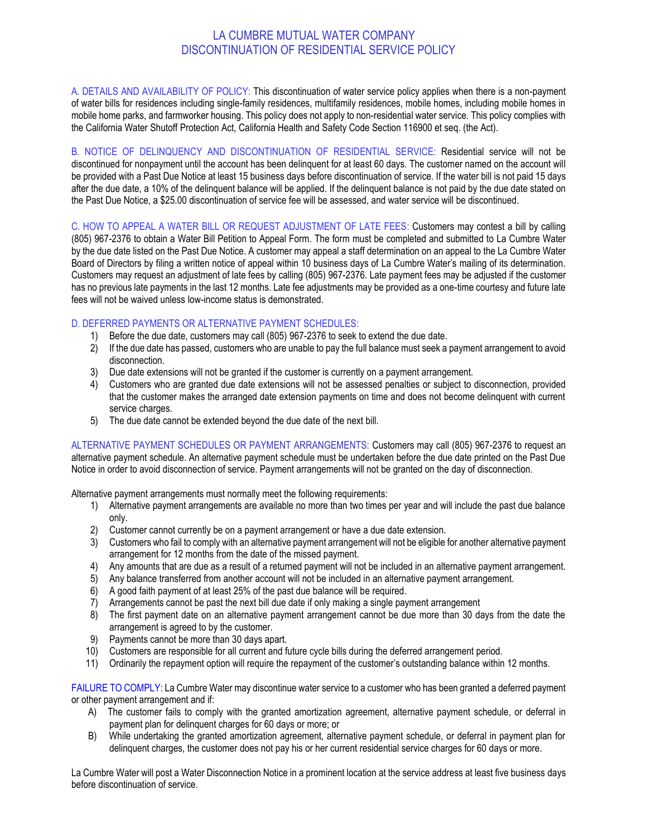## LA CUMBRE MUTUAL WATER COMPANY DISCONTINUATION OF RESIDENTIAL SERVICE POLICY

A. DETAILS AND AVAILABILITY OF POLICY: This discontinuation of water service policy applies when there is a non-payment of water bills for residences including single-family residences, multifamily residences, mobile homes, including mobile homes in mobile home parks, and farmworker housing. This policy does not apply to non-residential water service. This policy complies with the California Water Shutoff Protection Act, California Health and Safety Code Section 116900 et seq. (the Act).

B. NOTICE OF DELINQUENCY AND DISCONTINUATION OF RESIDENTIAL SERVICE: Residential service will not be discontinued for nonpayment until the account has been delinquent for at least 60 days. The customer named on the account will be provided with a Past Due Notice at least 15 business days before discontinuation of service. If the water bill is not paid 15 days after the due date, a 10% of the delinquent balance will be applied. If the delinquent balance is not paid by the due date stated on the Past Due Notice, a \$25.00 discontinuation of service fee will be assessed, and water service will be discontinued.

C. HOW TO APPEAL A WATER BILL OR REQUEST ADJUSTMENT OF LATE FEES: Customers may contest a bill by calling (805) 967-2376 to obtain a Water Bill Petition to Appeal Form. The form must be completed and submitted to La Cumbre Water by the due date listed on the Past Due Notice. A customer may appeal a staff determination on an appeal to the La Cumbre Water Board of Directors by filing a written notice of appeal within 10 business days of La Cumbre Water's mailing of its determination. Customers may request an adjustment of late fees by calling (805) 967-2376. Late payment fees may be adjusted if the customer has no previous late payments in the last 12 months. Late fee adjustments may be provided as a one-time courtesy and future late fees will not be waived unless low-income status is demonstrated.

## D. DEFERRED PAYMENTS OR ALTERNATIVE PAYMENT SCHEDULES:

- 1) Before the due date, customers may call (805) 967-2376 to seek to extend the due date.
- 2) If the due date has passed, customers who are unable to pay the full balance must seek a payment arrangement to avoid disconnection.
- 3) Due date extensions will not be granted if the customer is currently on a payment arrangement.
- 4) Customers who are granted due date extensions will not be assessed penalties or subject to disconnection, provided that the customer makes the arranged date extension payments on time and does not become delinquent with current service charges.
- 5) The due date cannot be extended beyond the due date of the next bill.

ALTERNATIVE PAYMENT SCHEDULES OR PAYMENT ARRANGEMENTS: Customers may call (805) 967-2376 to request an alternative payment schedule. An alternative payment schedule must be undertaken before the due date printed on the Past Due Notice in order to avoid disconnection of service. Payment arrangements will not be granted on the day of disconnection.

Alternative payment arrangements must normally meet the following requirements:

- 1) Alternative payment arrangements are available no more than two times per year and will include the past due balance only.
- 2) Customer cannot currently be on a payment arrangement or have a due date extension.
- 3) Customers who fail to comply with an alternative payment arrangement will not be eligible for another alternative payment arrangement for 12 months from the date of the missed payment.
- 4) Any amounts that are due as a result of a returned payment will not be included in an alternative payment arrangement.
- 5) Any balance transferred from another account will not be included in an alternative payment arrangement.
- 6) A good faith payment of at least 25% of the past due balance will be required.
- 7) Arrangements cannot be past the next bill due date if only making a single payment arrangement
- 8) The first payment date on an alternative payment arrangement cannot be due more than 30 days from the date the arrangement is agreed to by the customer.
- 9) Payments cannot be more than 30 days apart.
- 10) Customers are responsible for all current and future cycle bills during the deferred arrangement period.
- 11) Ordinarily the repayment option will require the repayment of the customer's outstanding balance within 12 months.

FAILURE TO COMPLY: La Cumbre Water may discontinue water service to a customer who has been granted a deferred payment or other payment arrangement and if:

- A) The customer fails to comply with the granted amortization agreement, alternative payment schedule, or deferral in payment plan for delinquent charges for 60 days or more; or
- B) While undertaking the granted amortization agreement, alternative payment schedule, or deferral in payment plan for delinquent charges, the customer does not pay his or her current residential service charges for 60 days or more.

La Cumbre Water will post a Water Disconnection Notice in a prominent location at the service address at least five business days before discontinuation of service.